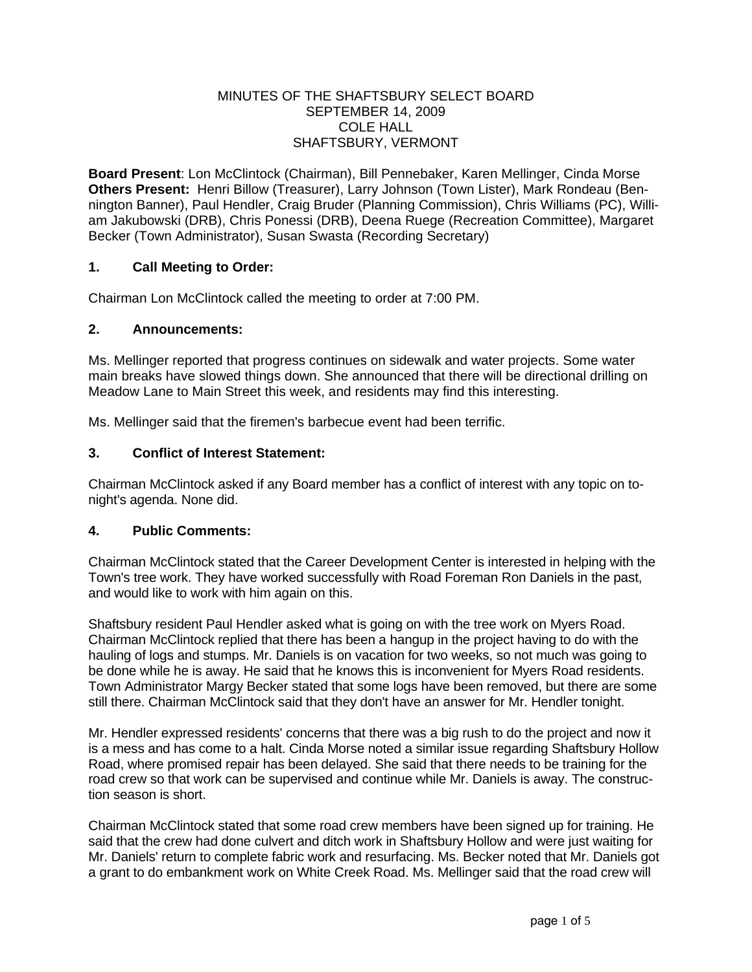### MINUTES OF THE SHAFTSBURY SELECT BOARD SEPTEMBER 14, 2009 COLE HALL SHAFTSBURY, VERMONT

**Board Present**: Lon McClintock (Chairman), Bill Pennebaker, Karen Mellinger, Cinda Morse **Others Present:** Henri Billow (Treasurer), Larry Johnson (Town Lister), Mark Rondeau (Bennington Banner), Paul Hendler, Craig Bruder (Planning Commission), Chris Williams (PC), William Jakubowski (DRB), Chris Ponessi (DRB), Deena Ruege (Recreation Committee), Margaret Becker (Town Administrator), Susan Swasta (Recording Secretary)

## **1. Call Meeting to Order:**

Chairman Lon McClintock called the meeting to order at 7:00 PM.

### **2. Announcements:**

Ms. Mellinger reported that progress continues on sidewalk and water projects. Some water main breaks have slowed things down. She announced that there will be directional drilling on Meadow Lane to Main Street this week, and residents may find this interesting.

Ms. Mellinger said that the firemen's barbecue event had been terrific.

### **3. Conflict of Interest Statement:**

Chairman McClintock asked if any Board member has a conflict of interest with any topic on tonight's agenda. None did.

## **4. Public Comments:**

Chairman McClintock stated that the Career Development Center is interested in helping with the Town's tree work. They have worked successfully with Road Foreman Ron Daniels in the past, and would like to work with him again on this.

Shaftsbury resident Paul Hendler asked what is going on with the tree work on Myers Road. Chairman McClintock replied that there has been a hangup in the project having to do with the hauling of logs and stumps. Mr. Daniels is on vacation for two weeks, so not much was going to be done while he is away. He said that he knows this is inconvenient for Myers Road residents. Town Administrator Margy Becker stated that some logs have been removed, but there are some still there. Chairman McClintock said that they don't have an answer for Mr. Hendler tonight.

Mr. Hendler expressed residents' concerns that there was a big rush to do the project and now it is a mess and has come to a halt. Cinda Morse noted a similar issue regarding Shaftsbury Hollow Road, where promised repair has been delayed. She said that there needs to be training for the road crew so that work can be supervised and continue while Mr. Daniels is away. The construction season is short.

Chairman McClintock stated that some road crew members have been signed up for training. He said that the crew had done culvert and ditch work in Shaftsbury Hollow and were just waiting for Mr. Daniels' return to complete fabric work and resurfacing. Ms. Becker noted that Mr. Daniels got a grant to do embankment work on White Creek Road. Ms. Mellinger said that the road crew will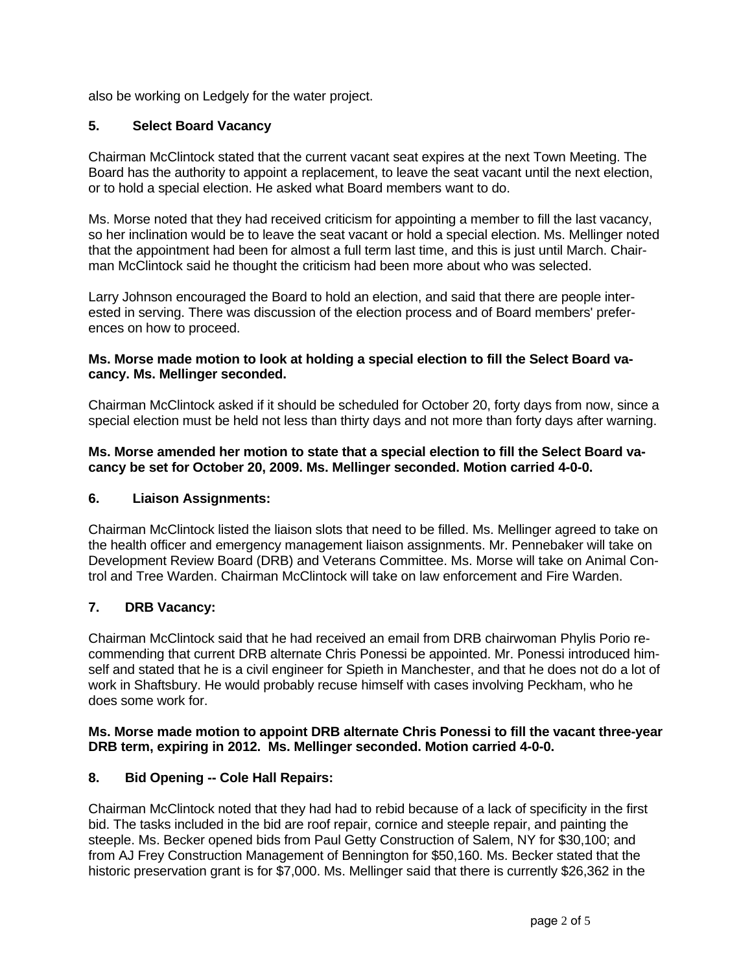also be working on Ledgely for the water project.

## **5. Select Board Vacancy**

Chairman McClintock stated that the current vacant seat expires at the next Town Meeting. The Board has the authority to appoint a replacement, to leave the seat vacant until the next election, or to hold a special election. He asked what Board members want to do.

Ms. Morse noted that they had received criticism for appointing a member to fill the last vacancy, so her inclination would be to leave the seat vacant or hold a special election. Ms. Mellinger noted that the appointment had been for almost a full term last time, and this is just until March. Chairman McClintock said he thought the criticism had been more about who was selected.

Larry Johnson encouraged the Board to hold an election, and said that there are people interested in serving. There was discussion of the election process and of Board members' preferences on how to proceed.

## **Ms. Morse made motion to look at holding a special election to fill the Select Board vacancy. Ms. Mellinger seconded.**

Chairman McClintock asked if it should be scheduled for October 20, forty days from now, since a special election must be held not less than thirty days and not more than forty days after warning.

**Ms. Morse amended her motion to state that a special election to fill the Select Board vacancy be set for October 20, 2009. Ms. Mellinger seconded. Motion carried 4-0-0.** 

## **6. Liaison Assignments:**

Chairman McClintock listed the liaison slots that need to be filled. Ms. Mellinger agreed to take on the health officer and emergency management liaison assignments. Mr. Pennebaker will take on Development Review Board (DRB) and Veterans Committee. Ms. Morse will take on Animal Control and Tree Warden. Chairman McClintock will take on law enforcement and Fire Warden.

## **7. DRB Vacancy:**

Chairman McClintock said that he had received an email from DRB chairwoman Phylis Porio recommending that current DRB alternate Chris Ponessi be appointed. Mr. Ponessi introduced himself and stated that he is a civil engineer for Spieth in Manchester, and that he does not do a lot of work in Shaftsbury. He would probably recuse himself with cases involving Peckham, who he does some work for.

### **Ms. Morse made motion to appoint DRB alternate Chris Ponessi to fill the vacant three-year DRB term, expiring in 2012. Ms. Mellinger seconded. Motion carried 4-0-0.**

## **8. Bid Opening -- Cole Hall Repairs:**

Chairman McClintock noted that they had had to rebid because of a lack of specificity in the first bid. The tasks included in the bid are roof repair, cornice and steeple repair, and painting the steeple. Ms. Becker opened bids from Paul Getty Construction of Salem, NY for \$30,100; and from AJ Frey Construction Management of Bennington for \$50,160. Ms. Becker stated that the historic preservation grant is for \$7,000. Ms. Mellinger said that there is currently \$26,362 in the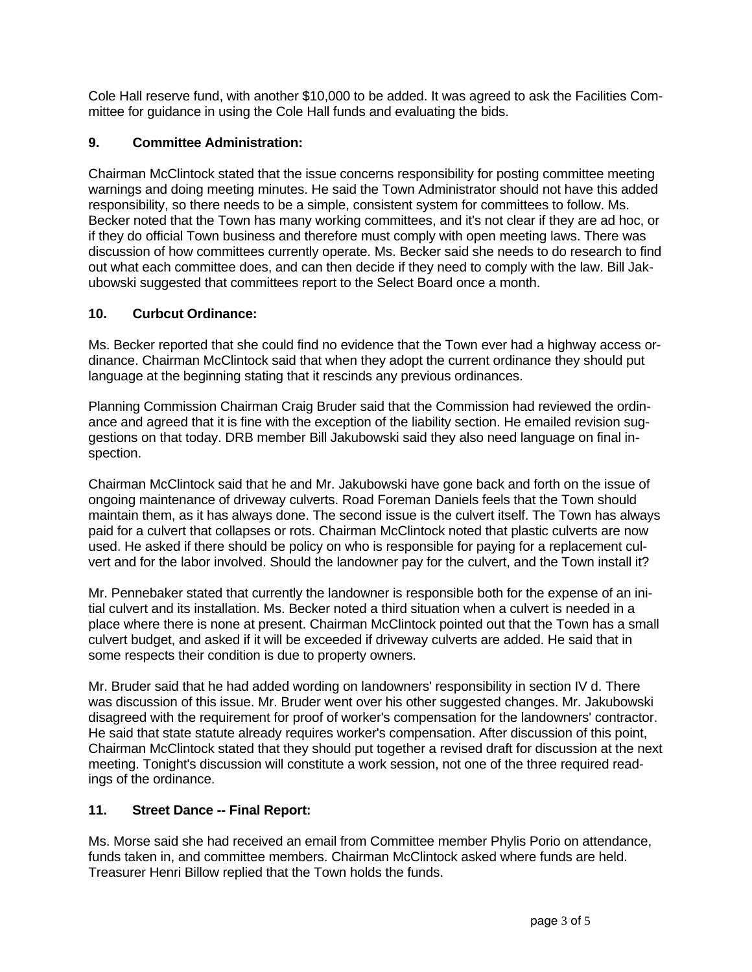Cole Hall reserve fund, with another \$10,000 to be added. It was agreed to ask the Facilities Committee for guidance in using the Cole Hall funds and evaluating the bids.

# **9. Committee Administration:**

Chairman McClintock stated that the issue concerns responsibility for posting committee meeting warnings and doing meeting minutes. He said the Town Administrator should not have this added responsibility, so there needs to be a simple, consistent system for committees to follow. Ms. Becker noted that the Town has many working committees, and it's not clear if they are ad hoc, or if they do official Town business and therefore must comply with open meeting laws. There was discussion of how committees currently operate. Ms. Becker said she needs to do research to find out what each committee does, and can then decide if they need to comply with the law. Bill Jakubowski suggested that committees report to the Select Board once a month.

# **10. Curbcut Ordinance:**

Ms. Becker reported that she could find no evidence that the Town ever had a highway access ordinance. Chairman McClintock said that when they adopt the current ordinance they should put language at the beginning stating that it rescinds any previous ordinances.

Planning Commission Chairman Craig Bruder said that the Commission had reviewed the ordinance and agreed that it is fine with the exception of the liability section. He emailed revision suggestions on that today. DRB member Bill Jakubowski said they also need language on final inspection.

Chairman McClintock said that he and Mr. Jakubowski have gone back and forth on the issue of ongoing maintenance of driveway culverts. Road Foreman Daniels feels that the Town should maintain them, as it has always done. The second issue is the culvert itself. The Town has always paid for a culvert that collapses or rots. Chairman McClintock noted that plastic culverts are now used. He asked if there should be policy on who is responsible for paying for a replacement culvert and for the labor involved. Should the landowner pay for the culvert, and the Town install it?

Mr. Pennebaker stated that currently the landowner is responsible both for the expense of an initial culvert and its installation. Ms. Becker noted a third situation when a culvert is needed in a place where there is none at present. Chairman McClintock pointed out that the Town has a small culvert budget, and asked if it will be exceeded if driveway culverts are added. He said that in some respects their condition is due to property owners.

Mr. Bruder said that he had added wording on landowners' responsibility in section IV d. There was discussion of this issue. Mr. Bruder went over his other suggested changes. Mr. Jakubowski disagreed with the requirement for proof of worker's compensation for the landowners' contractor. He said that state statute already requires worker's compensation. After discussion of this point, Chairman McClintock stated that they should put together a revised draft for discussion at the next meeting. Tonight's discussion will constitute a work session, not one of the three required readings of the ordinance.

# **11. Street Dance -- Final Report:**

Ms. Morse said she had received an email from Committee member Phylis Porio on attendance, funds taken in, and committee members. Chairman McClintock asked where funds are held. Treasurer Henri Billow replied that the Town holds the funds.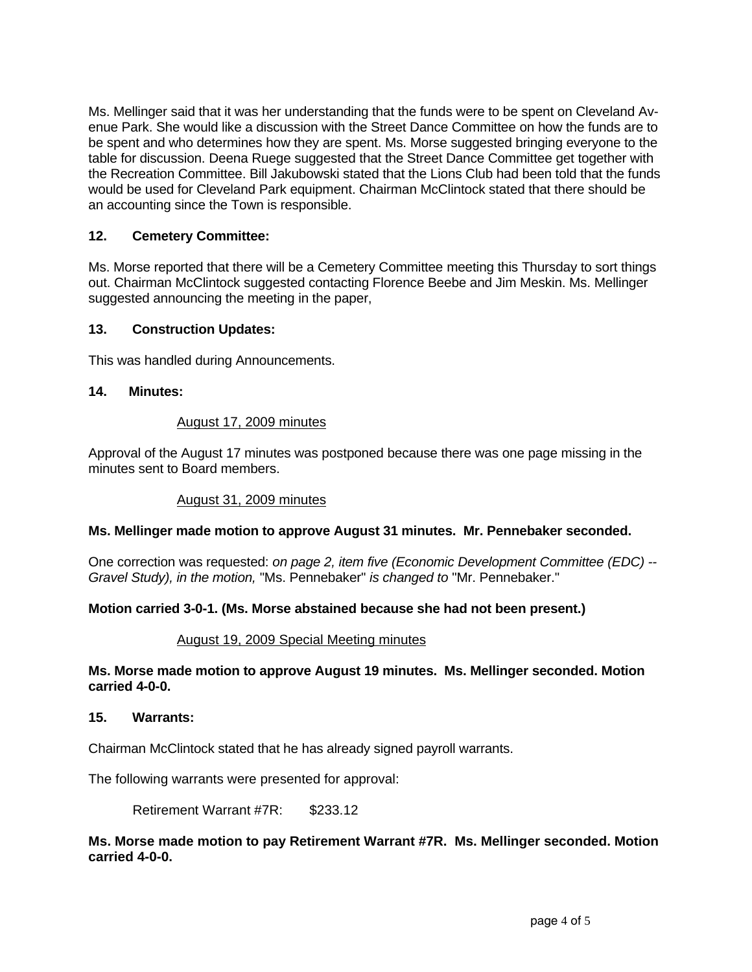Ms. Mellinger said that it was her understanding that the funds were to be spent on Cleveland Avenue Park. She would like a discussion with the Street Dance Committee on how the funds are to be spent and who determines how they are spent. Ms. Morse suggested bringing everyone to the table for discussion. Deena Ruege suggested that the Street Dance Committee get together with the Recreation Committee. Bill Jakubowski stated that the Lions Club had been told that the funds would be used for Cleveland Park equipment. Chairman McClintock stated that there should be an accounting since the Town is responsible.

## **12. Cemetery Committee:**

Ms. Morse reported that there will be a Cemetery Committee meeting this Thursday to sort things out. Chairman McClintock suggested contacting Florence Beebe and Jim Meskin. Ms. Mellinger suggested announcing the meeting in the paper,

### **13. Construction Updates:**

This was handled during Announcements.

### **14. Minutes:**

#### August 17, 2009 minutes

Approval of the August 17 minutes was postponed because there was one page missing in the minutes sent to Board members.

### August 31, 2009 minutes

### **Ms. Mellinger made motion to approve August 31 minutes. Mr. Pennebaker seconded.**

One correction was requested: *on page 2, item five (Economic Development Committee (EDC) -- Gravel Study), in the motion,* "Ms. Pennebaker" *is changed to* "Mr. Pennebaker."

### **Motion carried 3-0-1. (Ms. Morse abstained because she had not been present.)**

#### August 19, 2009 Special Meeting minutes

### **Ms. Morse made motion to approve August 19 minutes. Ms. Mellinger seconded. Motion carried 4-0-0.**

#### **15. Warrants:**

Chairman McClintock stated that he has already signed payroll warrants.

The following warrants were presented for approval:

Retirement Warrant #7R: \$233.12

### **Ms. Morse made motion to pay Retirement Warrant #7R. Ms. Mellinger seconded. Motion carried 4-0-0.**